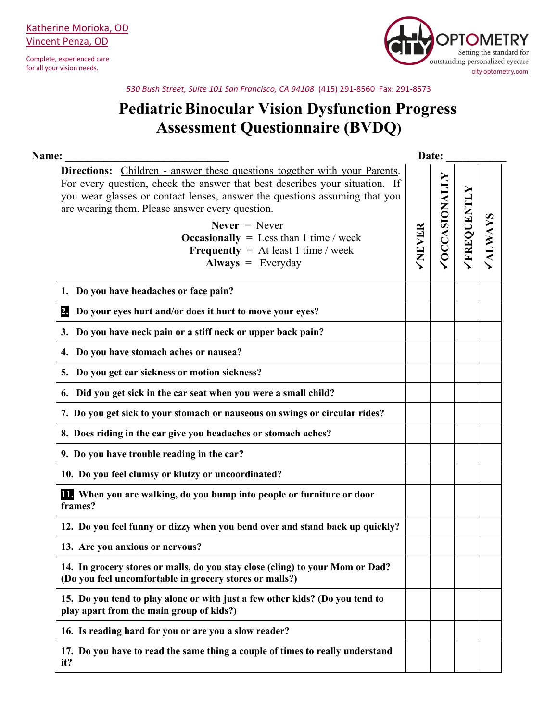Complete, experienced care for all your vision needs.



*530 Bush Street, Suite 101 San Francisco, CA 94108* (415) 291-8560 Fax: 291-8573

## **PediatricBinocular Vision Dysfunction Progress Assessment Questionnaire (BVDQ)**

| Name:                                                                                                                                                                                                                                                                                                                                                                                                                                   |              | Date:               |            |  |
|-----------------------------------------------------------------------------------------------------------------------------------------------------------------------------------------------------------------------------------------------------------------------------------------------------------------------------------------------------------------------------------------------------------------------------------------|--------------|---------------------|------------|--|
| <b>Directions:</b> Children - answer these questions together with your Parents.<br>For every question, check the answer that best describes your situation. If<br>you wear glasses or contact lenses, answer the questions assuming that you<br>are wearing them. Please answer every question.<br>Never $=$ Never<br><b>Occasionally</b> = Less than 1 time / week<br><b>Frequently</b> = At least 1 time / week<br>Always = Everyday | <b>NEVER</b> | <b>OCCASIONALLY</b> | FREQUENTLY |  |
| 1. Do you have headaches or face pain?                                                                                                                                                                                                                                                                                                                                                                                                  |              |                     |            |  |
| Do your eyes hurt and/or does it hurt to move your eyes?<br>2.                                                                                                                                                                                                                                                                                                                                                                          |              |                     |            |  |
| 3. Do you have neck pain or a stiff neck or upper back pain?                                                                                                                                                                                                                                                                                                                                                                            |              |                     |            |  |
| 4. Do you have stomach aches or nausea?                                                                                                                                                                                                                                                                                                                                                                                                 |              |                     |            |  |
| 5. Do you get car sickness or motion sickness?                                                                                                                                                                                                                                                                                                                                                                                          |              |                     |            |  |
| 6. Did you get sick in the car seat when you were a small child?                                                                                                                                                                                                                                                                                                                                                                        |              |                     |            |  |
| 7. Do you get sick to your stomach or nauseous on swings or circular rides?                                                                                                                                                                                                                                                                                                                                                             |              |                     |            |  |
| 8. Does riding in the car give you headaches or stomach aches?                                                                                                                                                                                                                                                                                                                                                                          |              |                     |            |  |
| 9. Do you have trouble reading in the car?                                                                                                                                                                                                                                                                                                                                                                                              |              |                     |            |  |
| 10. Do you feel clumsy or klutzy or uncoordinated?                                                                                                                                                                                                                                                                                                                                                                                      |              |                     |            |  |
| <b>IL</b> When you are walking, do you bump into people or furniture or door<br>frames?                                                                                                                                                                                                                                                                                                                                                 |              |                     |            |  |
| 12. Do you feel funny or dizzy when you bend over and stand back up quickly?                                                                                                                                                                                                                                                                                                                                                            |              |                     |            |  |
| 13. Are you anxious or nervous?                                                                                                                                                                                                                                                                                                                                                                                                         |              |                     |            |  |
| 14. In grocery stores or malls, do you stay close (cling) to your Mom or Dad?<br>(Do you feel uncomfortable in grocery stores or malls?)                                                                                                                                                                                                                                                                                                |              |                     |            |  |
| 15. Do you tend to play alone or with just a few other kids? (Do you tend to<br>play apart from the main group of kids?)                                                                                                                                                                                                                                                                                                                |              |                     |            |  |
| 16. Is reading hard for you or are you a slow reader?                                                                                                                                                                                                                                                                                                                                                                                   |              |                     |            |  |
| 17. Do you have to read the same thing a couple of times to really understand<br>it?                                                                                                                                                                                                                                                                                                                                                    |              |                     |            |  |